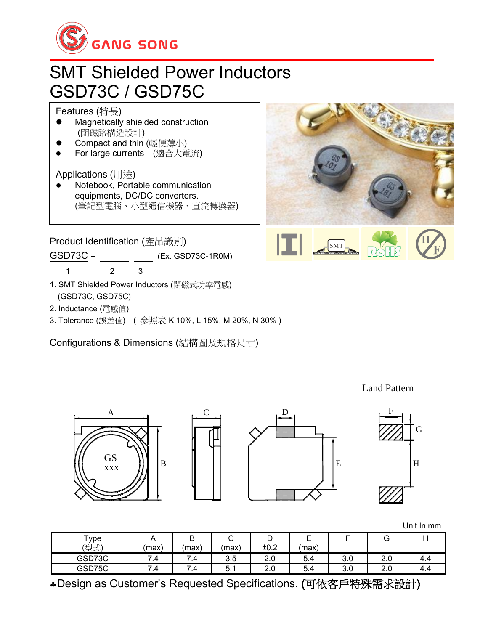

## SMT Shielded Power Inductors GSD73C / GSD75C

Features (特長)

- Magnetically shielded construction (閉磁路構造設計)
- ⚫ Compact and thin (輕便薄小)
- ⚫ For large currents (適合大電流)

Applications (用途)

⚫ Notebook, Portable communication equipments, DC/DC converters. (筆記型電腦、小型通信機器、直流轉換器)

Product Identification (產品識別)

GSD73C - \_\_\_\_\_\_ \_\_\_\_ (Ex. GSD73C-1R0M)

1 2 3

- 1. SMT Shielded Power Inductors (閉磁式功率電感) (GSD73C, GSD75C)
- 2. Inductance (電感值)
- 3. Tolerance (誤差值) ( 參照表 K 10%, L 15%, M 20%, N 30% )

Configurations & Dimensions (結構圖及規格尺寸)



Land Pattern









Unit In mm

| Type   | . .      | D<br>D   | ∽<br>◡        | ັ    | $\overline{\phantom{0}}$<br>- |     | ت   |     |
|--------|----------|----------|---------------|------|-------------------------------|-----|-----|-----|
| (型式)   | (max)    | (max)    | (max)         | ±0.2 | (max)                         |     |     |     |
| GSD73C | -<br>4.' | -<br>- 7 | 3.5           | 2.0  | 5.4                           | 3.0 | 2.0 | 4.4 |
| GSD75C | -<br>7.4 | -<br>.4  | -<br>h<br>J.I | 2.0  | 5.4                           | 3.0 | 2.0 | 4.4 |

Design as Customer's Requested Specifications. (可依客戶特殊需求設計)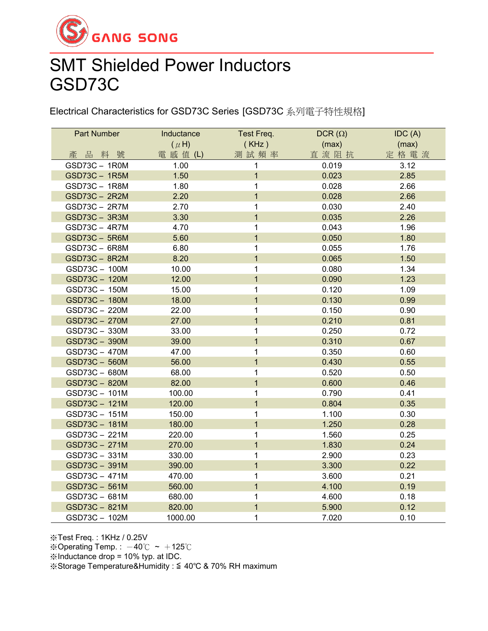

## SMT Shielded Power Inductors GSD73C

Electrical Characteristics for GSD73C Series [GSD73C 系列電子特性規格]

| <b>Part Number</b> | Inductance | Test Freq.     | DCR $(\Omega)$ | IDC(A) |
|--------------------|------------|----------------|----------------|--------|
|                    | $(\mu H)$  | (KHz)          | (max)          | (max)  |
| 產品料號               | 電 感 值 (L)  | 測試頻率           | 直流阻抗           | 定格電流   |
| GSD73C-1R0M        | 1.00       | 1              | 0.019          | 3.12   |
| GSD73C - 1R5M      | 1.50       | $\mathbf{1}$   | 0.023          | 2.85   |
| GSD73C - 1R8M      | 1.80       | 1              | 0.028          | 2.66   |
| GSD73C - 2R2M      | 2.20       | $\mathbf{1}$   | 0.028          | 2.66   |
| GSD73C - 2R7M      | 2.70       | 1              | 0.030          | 2.40   |
| GSD73C - 3R3M      | 3.30       | $\overline{1}$ | 0.035          | 2.26   |
| GSD73C - 4R7M      | 4.70       | 1              | 0.043          | 1.96   |
| GSD73C - 5R6M      | 5.60       | $\overline{1}$ | 0.050          | 1.80   |
| GSD73C - 6R8M      | 6.80       | 1              | 0.055          | 1.76   |
| GSD73C - 8R2M      | 8.20       | $\overline{1}$ | 0.065          | 1.50   |
| GSD73C - 100M      | 10.00      | 1              | 0.080          | 1.34   |
| GSD73C - 120M      | 12.00      | $\mathbf{1}$   | 0.090          | 1.23   |
| GSD73C - 150M      | 15.00      | 1              | 0.120          | 1.09   |
| GSD73C-180M        | 18.00      | $\overline{1}$ | 0.130          | 0.99   |
| GSD73C - 220M      | 22.00      | 1              | 0.150          | 0.90   |
| GSD73C - 270M      | 27.00      | $\overline{1}$ | 0.210          | 0.81   |
| GSD73C - 330M      | 33.00      | 1              | 0.250          | 0.72   |
| GSD73C - 390M      | 39.00      | $\mathbf{1}$   | 0.310          | 0.67   |
| GSD73C - 470M      | 47.00      | 1              | 0.350          | 0.60   |
| GSD73C - 560M      | 56.00      | $\overline{1}$ | 0.430          | 0.55   |
| GSD73C - 680M      | 68.00      | 1              | 0.520          | 0.50   |
| GSD73C - 820M      | 82.00      | $\overline{1}$ | 0.600          | 0.46   |
| GSD73C - 101M      | 100.00     | 1              | 0.790          | 0.41   |
| GSD73C - 121M      | 120.00     | $\overline{1}$ | 0.804          | 0.35   |
| GSD73C - 151M      | 150.00     | 1              | 1.100          | 0.30   |
| GSD73C - 181M      | 180.00     | $\overline{1}$ | 1.250          | 0.28   |
| GSD73C - 221M      | 220.00     | 1              | 1.560          | 0.25   |
| GSD73C - 271M      | 270.00     | $\mathbf 1$    | 1.830          | 0.24   |
| GSD73C - 331M      | 330.00     | 1              | 2.900          | 0.23   |
| GSD73C - 391M      | 390.00     | $\overline{1}$ | 3.300          | 0.22   |
| GSD73C - 471M      | 470.00     | 1              | 3.600          | 0.21   |
| GSD73C - 561M      | 560.00     | $\overline{1}$ | 4.100          | 0.19   |
| GSD73C - 681M      | 680.00     | 1              | 4.600          | 0.18   |
| GSD73C - 821M      | 820.00     | $\overline{1}$ | 5.900          | 0.12   |
| GSD73C-102M        | 1000.00    | 1              | 7.020          | 0.10   |

※Test Freq. : 1KHz / 0.25V

※Operating Temp. :  $-40^{\circ}$ C ~  $+125^{\circ}$ C

※Inductance drop = 10% typ. at IDC.

※Storage Temperature&Humidity : ≦ 40℃ & 70% RH maximum